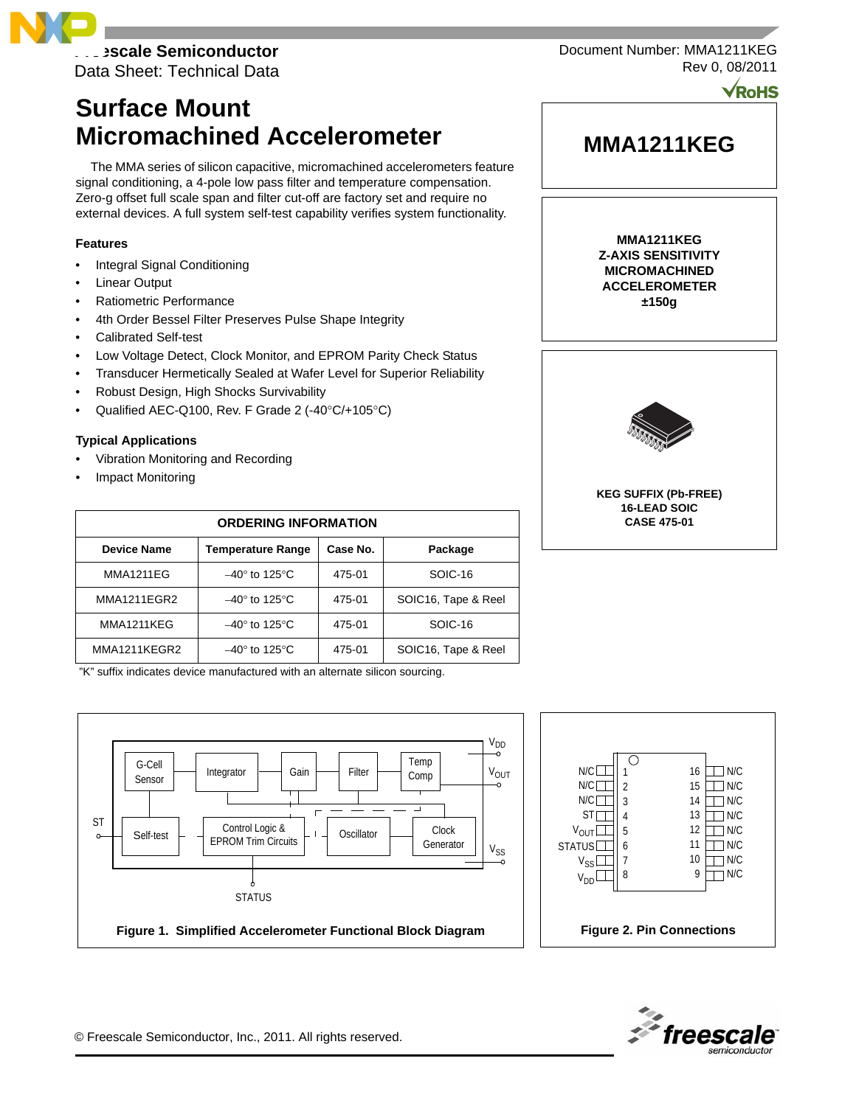**Freescale Semiconductor**

Data Sheet: Technical Data

# **Surface Mount Micromachined Accelerometer**

The MMA series of silicon capacitive, micromachined accelerometers feature signal conditioning, a 4-pole low pass filter and temperature compensation. Zero-g offset full scale span and filter cut-off are factory set and require no external devices. A full system self-test capability verifies system functionality.

# **Features**

- Integral Signal Conditioning
- **Linear Output**
- Ratiometric Performance
- 4th Order Bessel Filter Preserves Pulse Shape Integrity
- Calibrated Self-test
- Low Voltage Detect, Clock Monitor, and EPROM Parity Check Status
- Transducer Hermetically Sealed at Wafer Level for Superior Reliability
- Robust Design, High Shocks Survivability
- Qualified AEC-Q100, Rev. F Grade 2 (-40°C/+105°C)

## **Typical Applications**

- Vibration Monitoring and Recording
- Impact Monitoring

| <b>ORDERING INFORMATION</b> |                                     |          |                     |  |  |
|-----------------------------|-------------------------------------|----------|---------------------|--|--|
| <b>Device Name</b>          | <b>Temperature Range</b>            | Case No. | Package             |  |  |
| <b>MMA1211EG</b>            | $-40^\circ$ to 125 $\rm ^{\circ}$ C | 475-01   | SOIC-16             |  |  |
| <b>MMA1211EGR2</b>          | $-40^\circ$ to 125 $\degree$ C      | 475-01   | SOIC16, Tape & Reel |  |  |
| MMA1211KEG                  | $-40^\circ$ to 125 $\degree$ C      | 475-01   | SOIC-16             |  |  |
| MMA1211KEGR2                | $-40^\circ$ to 125 $\degree$ C      | 475-01   | SOIC16, Tape & Reel |  |  |

"K" suffix indicates device manufactured with an alternate silicon sourcing.



**MMA1211KEG**

Document Number: MMA1211KEG

Rev 0, 08/2011

**VRoHS** 

**MMA1211KEG Z-AXIS SENSITIVITY MICROMACHINED ACCELEROMETER ±150g**



**KEG SUFFIX (Pb-FREE) 16-LEAD SOIC CASE 475-01**





© Freescale Semiconductor, Inc., 2011. All rights reserved.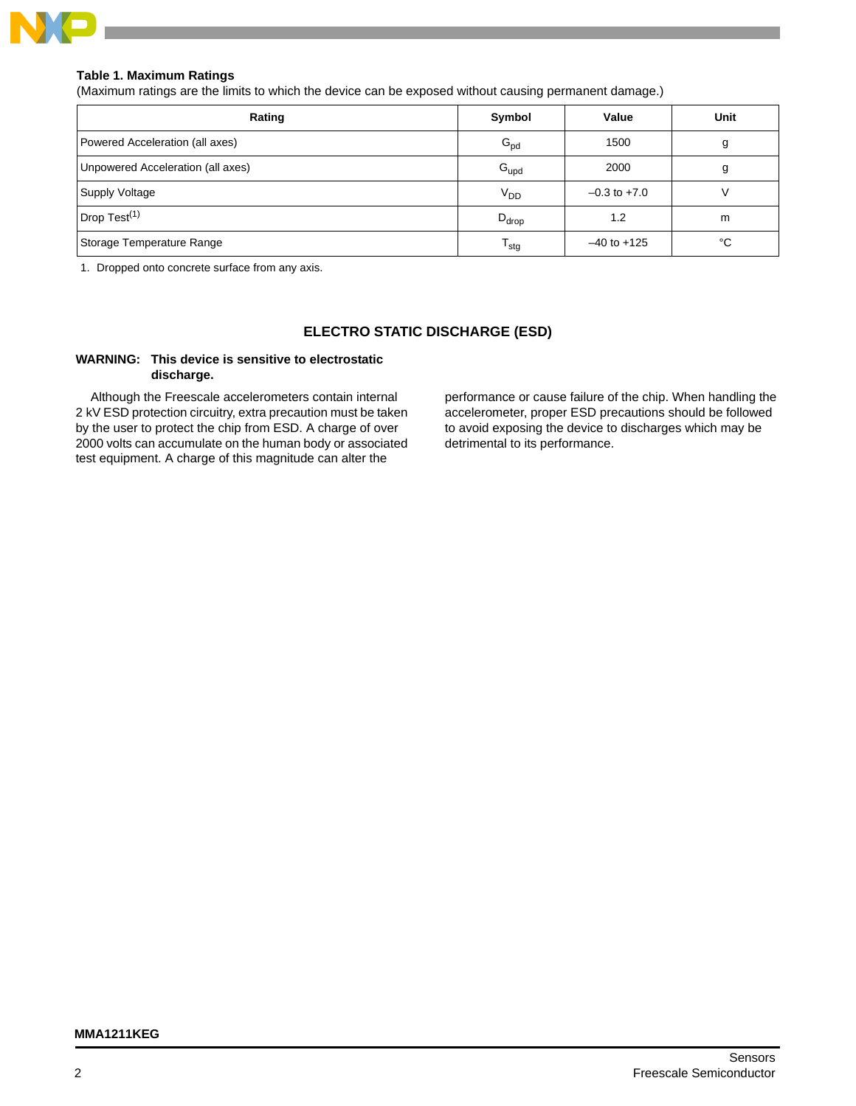

# **Table 1. Maximum Ratings**

(Maximum ratings are the limits to which the device can be exposed without causing permanent damage.)

| Rating                            | Symbol                    | Value            | Unit |
|-----------------------------------|---------------------------|------------------|------|
| Powered Acceleration (all axes)   | $G_{\text{pd}}$           | 1500             | g    |
| Unpowered Acceleration (all axes) | $G_{\text{upd}}$          | 2000             | g    |
| Supply Voltage                    | V <sub>DD</sub>           | $-0.3$ to $+7.0$ |      |
| Drop Test <sup>(1)</sup>          | $D_{drop}$                | 1.2              | m    |
| Storage Temperature Range         | $\mathsf{T}_{\text{stg}}$ | $-40$ to $+125$  | °C   |

1. Dropped onto concrete surface from any axis.

# **ELECTRO STATIC DISCHARGE (ESD)**

## **WARNING: This device is sensitive to electrostatic discharge.**

Although the Freescale accelerometers contain internal 2 kV ESD protection circuitry, extra precaution must be taken by the user to protect the chip from ESD. A charge of over 2000 volts can accumulate on the human body or associated test equipment. A charge of this magnitude can alter the

performance or cause failure of the chip. When handling the accelerometer, proper ESD precautions should be followed to avoid exposing the device to discharges which may be detrimental to its performance.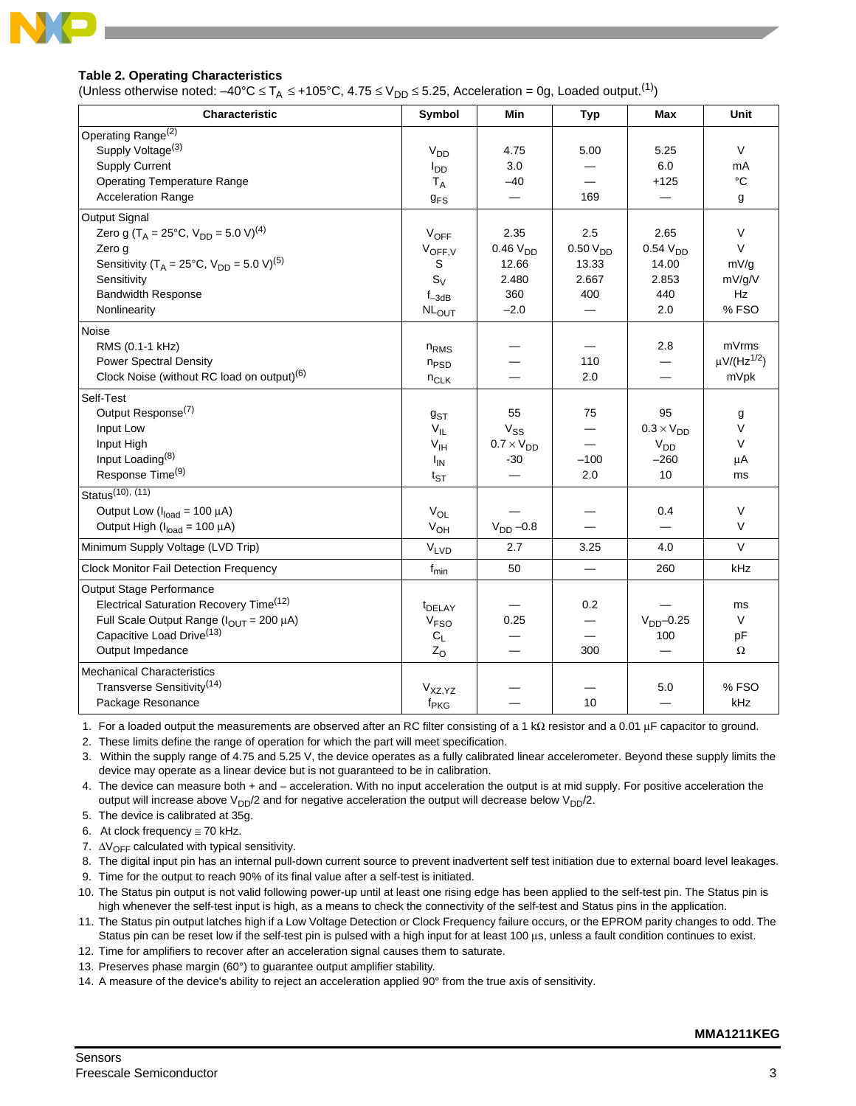

# **Table 2. Operating Characteristics**

(Unless otherwise noted:  $-40^{\circ}C \le T_A \le +105^{\circ}C$ , 4.75  $\le V_{DD} \le 5.25$ , Acceleration = 0g, Loaded output.<sup>(1)</sup>)

| Characteristic                                                         | Symbol                 | Min                 | <b>Typ</b>           | Max                 | Unit                         |
|------------------------------------------------------------------------|------------------------|---------------------|----------------------|---------------------|------------------------------|
| Operating Range <sup>(2)</sup>                                         |                        |                     |                      |                     |                              |
| Supply Voltage <sup>(3)</sup>                                          | V <sub>DD</sub>        | 4.75                | 5.00                 | 5.25                | $\vee$                       |
| <b>Supply Current</b>                                                  | $I_{DD}$               | 3.0                 |                      | 6.0                 | mA                           |
| <b>Operating Temperature Range</b>                                     | $T_A$                  | $-40$               |                      | $+125$              | $^{\circ}C$                  |
| <b>Acceleration Range</b>                                              | <b>g<sub>FS</sub></b>  |                     | 169                  |                     | g                            |
| Output Signal                                                          |                        |                     |                      |                     |                              |
| Zero g (T <sub>A</sub> = 25°C, V <sub>DD</sub> = 5.0 V) <sup>(4)</sup> | <b>VOFF</b>            | 2.35                | 2.5                  | 2.65                | $\vee$                       |
| Zero q                                                                 | $V_{OFF,V}$            | 0.46V <sub>DD</sub> | 0.50 V <sub>DD</sub> | 0.54V <sub>DD</sub> | $\vee$                       |
| Sensitivity (T <sub>A</sub> = 25°C, $V_{DD}$ = 5.0 V) <sup>(5)</sup>   | S                      | 12.66               | 13.33                | 14.00               | mV/q                         |
| Sensitivity                                                            | $S_V$                  | 2.480               | 2.667                | 2.853               | mV/g/V                       |
| <b>Bandwidth Response</b>                                              | $f_{-3dB}$             | 360                 | 400                  | 440                 | Hz                           |
| Nonlinearity                                                           | <b>NLOUT</b>           | $-2.0$              |                      | 2.0                 | %FSO                         |
| Noise                                                                  |                        |                     |                      |                     |                              |
| RMS (0.1-1 kHz)                                                        | n <sub>RMS</sub>       |                     |                      | 2.8                 | mVrms                        |
| <b>Power Spectral Density</b>                                          | $n_{PSD}$              |                     | 110                  |                     | $\mu$ V/(Hz <sup>1/2</sup> ) |
| Clock Noise (without RC load on output) <sup>(6)</sup>                 | $n_{CLK}$              |                     | 2.0                  |                     | mVpk                         |
| Self-Test                                                              |                        |                     |                      |                     |                              |
| Output Response <sup>(7)</sup>                                         | $g_{ST}$               | 55                  | 75                   | 95                  | g                            |
| Input Low                                                              | $V_{IL}$               | $V_{SS}$            |                      | $0.3 \times V_{DD}$ | $\vee$                       |
| Input High                                                             | V <sub>IH</sub>        | $0.7 \times V_{DD}$ |                      | V <sub>DD</sub>     | $\vee$                       |
| Input Loading <sup>(8)</sup>                                           | $I_{IN}$               | $-30$               | $-100$               | $-260$              | μA                           |
| Response Time <sup>(9)</sup>                                           | $t_{ST}$               |                     | 2.0                  | 10                  | ms                           |
| Status <sup>(10)</sup> , (11)                                          |                        |                     |                      |                     |                              |
| Output Low ( $I_{load} = 100 \mu A$ )                                  | $V_{OL}$               |                     |                      | 0.4                 | $\vee$                       |
| Output High ( $I_{load}$ = 100 $\mu$ A)                                | $V_{OH}$               | $VDD -0.8$          |                      |                     | $\vee$                       |
| Minimum Supply Voltage (LVD Trip)                                      | <b>V<sub>LVD</sub></b> | 2.7                 | 3.25                 | 4.0                 | $\vee$                       |
| <b>Clock Monitor Fail Detection Frequency</b>                          | $f_{min}$              | 50                  | $\equiv$             | 260                 | kHz                          |
| Output Stage Performance                                               |                        |                     |                      |                     |                              |
| Electrical Saturation Recovery Time <sup>(12)</sup>                    | <sup>t</sup> DELAY     |                     | 0.2                  |                     | ms                           |
| Full Scale Output Range ( $I_{OUT}$ = 200 µA)                          | V <sub>FSO</sub>       | 0.25                |                      | $VDD$ -0.25         | V                            |
| Capacitive Load Drive <sup>(13)</sup>                                  | $C_L$                  |                     |                      | 100                 | рF                           |
| Output Impedance                                                       | $Z_{O}$                |                     | 300                  |                     | Ω                            |
| <b>Mechanical Characteristics</b>                                      |                        |                     |                      |                     |                              |
| Transverse Sensitivity <sup>(14)</sup>                                 | V <sub>XZ,YZ</sub>     |                     |                      | 5.0                 | % FSO                        |
| Package Resonance                                                      | f <sub>PKG</sub>       |                     | 10                   |                     | kHz                          |

1. For a loaded output the measurements are observed after an RC filter consisting of a 1 kΩ resistor and a 0.01 μF capacitor to ground.

2. These limits define the range of operation for which the part will meet specification.

3. Within the supply range of 4.75 and 5.25 V, the device operates as a fully calibrated linear accelerometer. Beyond these supply limits the device may operate as a linear device but is not guaranteed to be in calibration.

4. The device can measure both + and – acceleration. With no input acceleration the output is at mid supply. For positive acceleration the output will increase above  $V_{DD}/2$  and for negative acceleration the output will decrease below  $V_{DD}/2$ .

5. The device is calibrated at 35g.

6. At clock frequency  $\cong$  70 kHz.

- 7.  $\Delta V_{\text{OFF}}$  calculated with typical sensitivity.
- 8. The digital input pin has an internal pull-down current source to prevent inadvertent self test initiation due to external board level leakages.
- 9. Time for the output to reach 90% of its final value after a self-test is initiated.
- 10. The Status pin output is not valid following power-up until at least one rising edge has been applied to the self-test pin. The Status pin is high whenever the self-test input is high, as a means to check the connectivity of the self-test and Status pins in the application.
- 11. The Status pin output latches high if a Low Voltage Detection or Clock Frequency failure occurs, or the EPROM parity changes to odd. The Status pin can be reset low if the self-test pin is pulsed with a high input for at least 100 μs, unless a fault condition continues to exist.

12. Time for amplifiers to recover after an acceleration signal causes them to saturate.

- 13. Preserves phase margin (60°) to guarantee output amplifier stability.
- 14. A measure of the device's ability to reject an acceleration applied 90° from the true axis of sensitivity.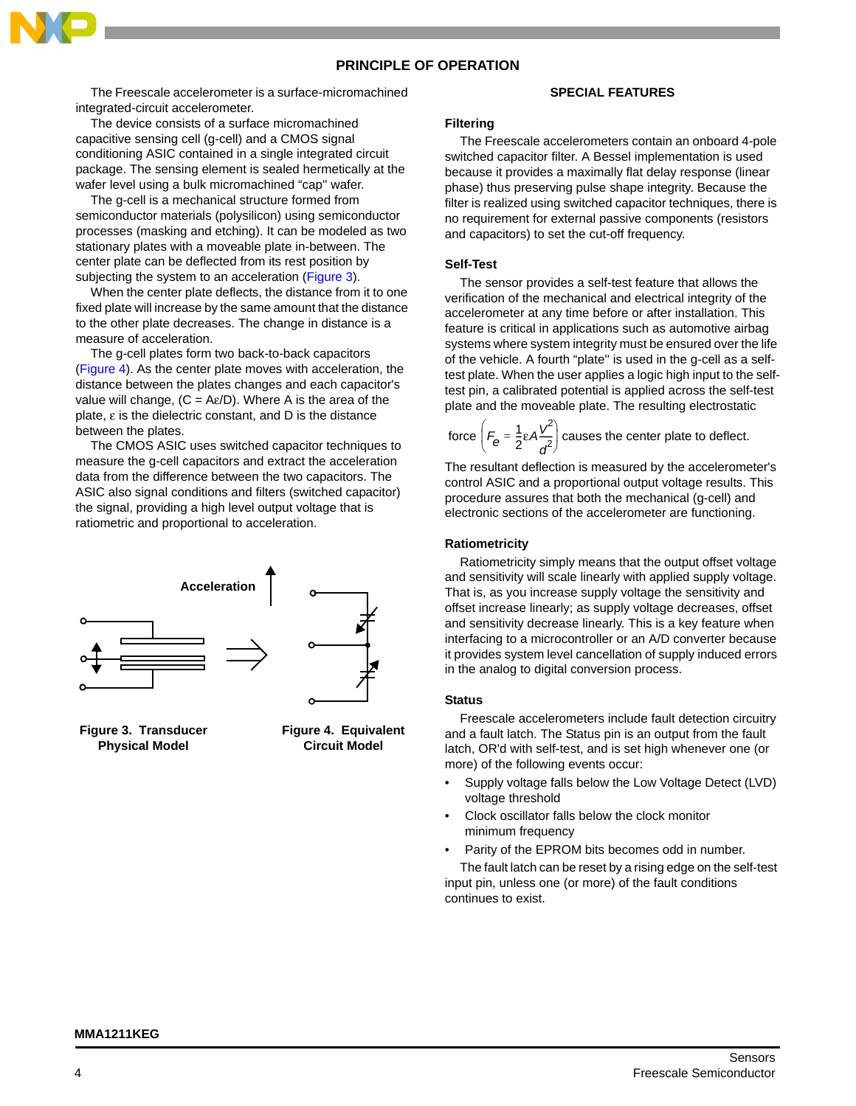# **PRINCIPLE OF OPERATION**

The Freescale accelerometer is a surface-micromachined integrated-circuit accelerometer.

The device consists of a surface micromachined capacitive sensing cell (g-cell) and a CMOS signal conditioning ASIC contained in a single integrated circuit package. The sensing element is sealed hermetically at the wafer level using a bulk micromachined "cap'' wafer.

The g-cell is a mechanical structure formed from semiconductor materials (polysilicon) using semiconductor processes (masking and etching). It can be modeled as two stationary plates with a moveable plate in-between. The center plate can be deflected from its rest position by subjecting the system to an acceleration (Figure 3).

When the center plate deflects, the distance from it to one fixed plate will increase by the same amount that the distance to the other plate decreases. The change in distance is a measure of acceleration.

The g-cell plates form two back-to-back capacitors (Figure 4). As the center plate moves with acceleration, the distance between the plates changes and each capacitor's value will change,  $(C = Ae/D)$ . Where A is the area of the plate, ε is the dielectric constant, and D is the distance between the plates.

The CMOS ASIC uses switched capacitor techniques to measure the g-cell capacitors and extract the acceleration data from the difference between the two capacitors. The ASIC also signal conditions and filters (switched capacitor) the signal, providing a high level output voltage that is ratiometric and proportional to acceleration.



**Figure 3. Transducer Physical Model**

**Figure 4. Equivalent Circuit Model**

#### **SPECIAL FEATURES**

#### **Filtering**

The Freescale accelerometers contain an onboard 4-pole switched capacitor filter. A Bessel implementation is used because it provides a maximally flat delay response (linear phase) thus preserving pulse shape integrity. Because the filter is realized using switched capacitor techniques, there is no requirement for external passive components (resistors and capacitors) to set the cut-off frequency.

#### **Self-Test**

The sensor provides a self-test feature that allows the verification of the mechanical and electrical integrity of the accelerometer at any time before or after installation. This feature is critical in applications such as automotive airbag systems where system integrity must be ensured over the life of the vehicle. A fourth "plate'' is used in the g-cell as a selftest plate. When the user applies a logic high input to the selftest pin, a calibrated potential is applied across the self-test plate and the moveable plate. The resulting electrostatic

force  $F_e = \frac{1}{2} \varepsilon A \frac{V}{r^2}$  causes the center plate to deflect.  $\left(F_{\mathbf{\theta}} = \frac{1}{2} \varepsilon A \frac{V^2}{d^2}\right)$ 

The resultant deflection is measured by the accelerometer's control ASIC and a proportional output voltage results. This procedure assures that both the mechanical (g-cell) and electronic sections of the accelerometer are functioning.

#### **Ratiometricity**

Ratiometricity simply means that the output offset voltage and sensitivity will scale linearly with applied supply voltage. That is, as you increase supply voltage the sensitivity and offset increase linearly; as supply voltage decreases, offset and sensitivity decrease linearly. This is a key feature when interfacing to a microcontroller or an A/D converter because it provides system level cancellation of supply induced errors in the analog to digital conversion process.

#### **Status**

Freescale accelerometers include fault detection circuitry and a fault latch. The Status pin is an output from the fault latch, OR'd with self-test, and is set high whenever one (or more) of the following events occur:

- Supply voltage falls below the Low Voltage Detect (LVD) voltage threshold
- Clock oscillator falls below the clock monitor minimum frequency
- Parity of the EPROM bits becomes odd in number.

The fault latch can be reset by a rising edge on the self-test input pin, unless one (or more) of the fault conditions continues to exist.

## **MMA1211KEG**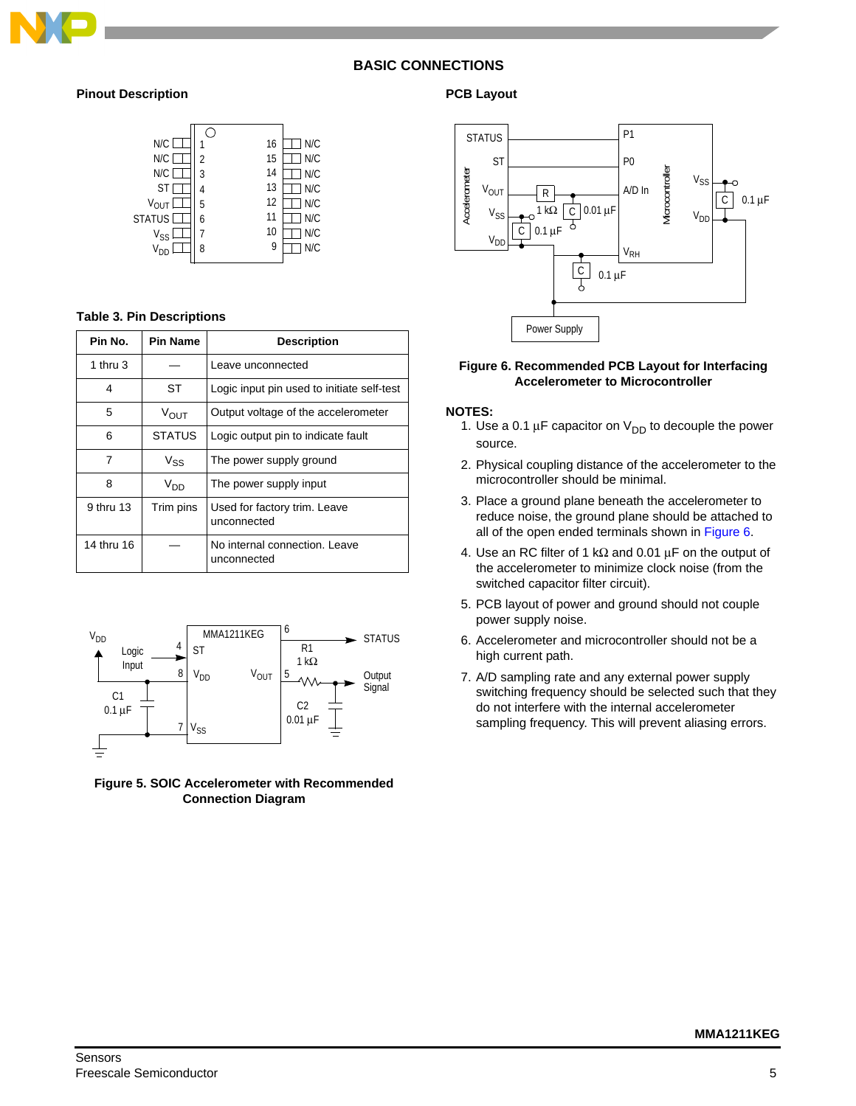

# **BASIC CONNECTIONS**

# **Pinout Description**



## **Table 3. Pin Descriptions**

| Pin No.    | Pin Name         | <b>Description</b>                           |
|------------|------------------|----------------------------------------------|
| 1 thru $3$ |                  | Leave unconnected                            |
| 4          | ST               | Logic input pin used to initiate self-test   |
| 5          | $V_{\text{OUT}}$ | Output voltage of the accelerometer          |
| 6          | <b>STATUS</b>    | Logic output pin to indicate fault           |
| 7          | $V_{SS}$         | The power supply ground                      |
| 8          | V <sub>DD</sub>  | The power supply input                       |
| 9 thru 13  | Trim pins        | Used for factory trim. Leave<br>unconnected  |
| 14 thru 16 |                  | No internal connection. Leave<br>unconnected |



**Figure 5. SOIC Accelerometer with Recommended Connection Diagram**

# **PCB Layout**



#### <span id="page-4-0"></span>**Figure 6. Recommended PCB Layout for Interfacing Accelerometer to Microcontroller**

#### **NOTES:**

- 1. Use a 0.1  $\mu$ F capacitor on  $V_{DD}$  to decouple the power source.
- 2. Physical coupling distance of the accelerometer to the microcontroller should be minimal.
- 3. Place a ground plane beneath the accelerometer to reduce noise, the ground plane should be attached to all of the open ended terminals shown in [Figure 6.](#page-4-0)
- 4. Use an RC filter of 1 k $\Omega$  and 0.01  $\mu$ F on the output of the accelerometer to minimize clock noise (from the switched capacitor filter circuit).
- 5. PCB layout of power and ground should not couple power supply noise.
- 6. Accelerometer and microcontroller should not be a high current path.
- 7. A/D sampling rate and any external power supply switching frequency should be selected such that they do not interfere with the internal accelerometer sampling frequency. This will prevent aliasing errors.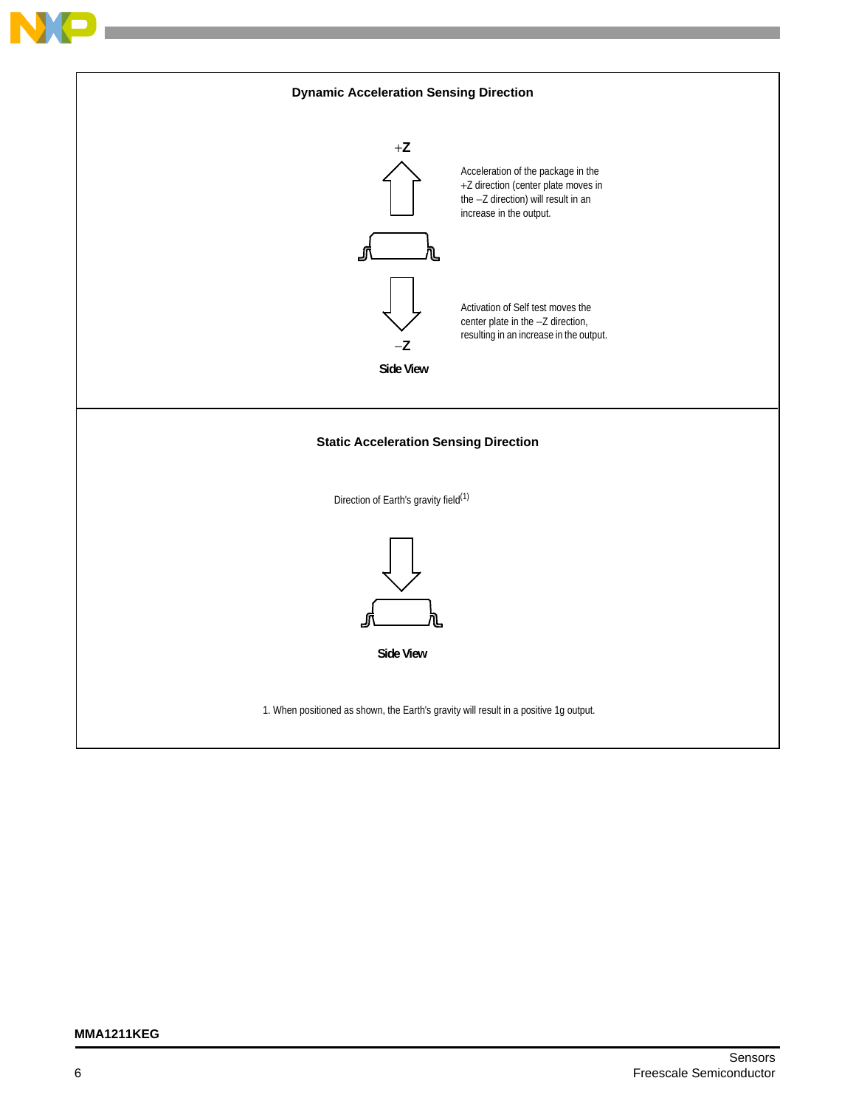

## **MMA1211KEG**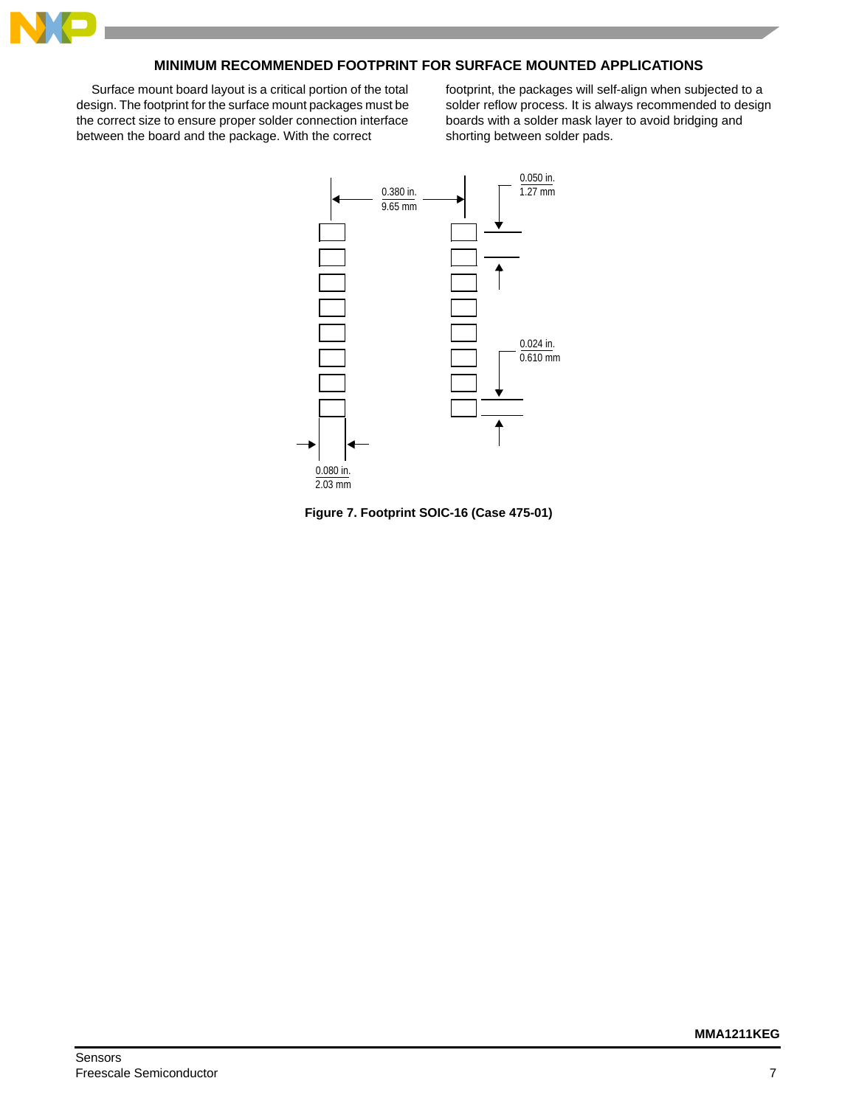

# **MINIMUM RECOMMENDED FOOTPRINT FOR SURFACE MOUNTED APPLICATIONS**

Surface mount board layout is a critical portion of the total design. The footprint for the surface mount packages must be the correct size to ensure proper solder connection interface between the board and the package. With the correct

footprint, the packages will self-align when subjected to a solder reflow process. It is always recommended to design boards with a solder mask layer to avoid bridging and shorting between solder pads.



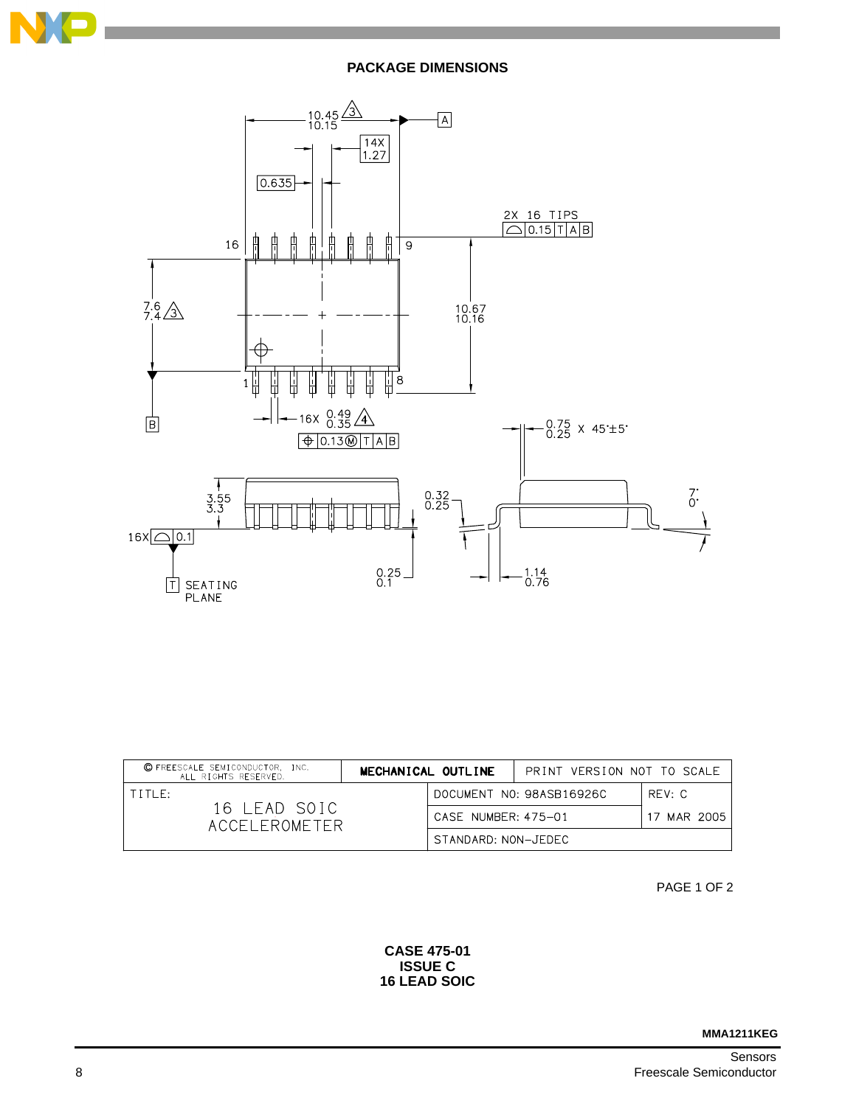

**PACKAGE DIMENSIONS**



| C FREESCALE SEMICONDUCTOR, INC.<br>MECHANICAL OUTLINE<br>ALL RIGHTS RESERVED. |  |                     | PRINT VERSION NOT TO SCALE |             |
|-------------------------------------------------------------------------------|--|---------------------|----------------------------|-------------|
| TITIF:                                                                        |  |                     | DOCUMENT NO: 98ASB16926C   | RFV: C      |
| 16 LEAD SOIC<br>ACCEL EROMETER                                                |  | CASE NUMBER: 475-01 |                            | 17 MAR 2005 |
|                                                                               |  | STANDARD: NON-JEDEC |                            |             |

PAGE 1 OF 2

**CASE 475-01 ISSUE C 16 LEAD SOIC**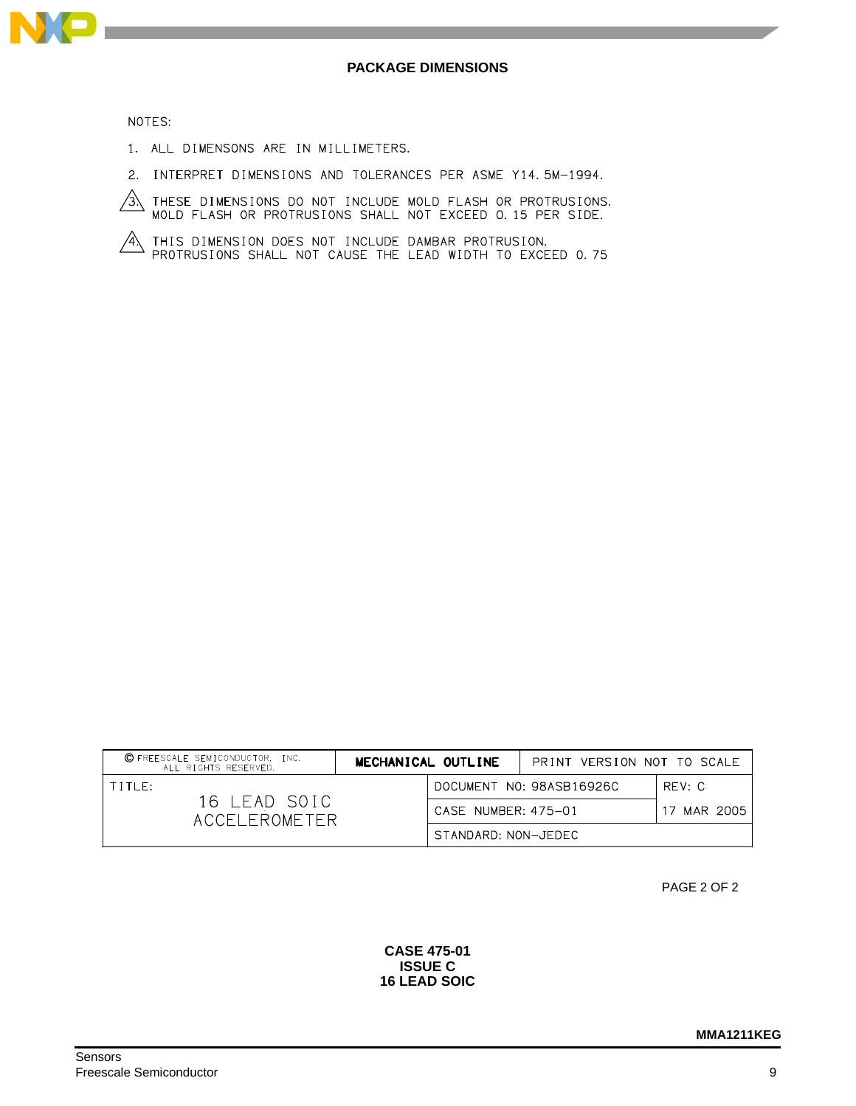

NOTES:

- 1. ALL DIMENSONS ARE IN MILLIMETERS.
- 2. INTERPRET DIMENSIONS AND TOLERANCES PER ASME Y14.5M-1994.
- $\overbrace{3}$  these dimensions do not include mold flash or protrusions.<br>MOLD FLASH OR PROTRUSIONS SHALL NOT EXCEED 0.15 PER SIDE.
- $\overbrace{A}$  this dimension does not include dambar protrusion.<br>Protrusions shall not cause the lead width to exceed 0.75

| C FREESCALE SEMICONDUCTOR, INC.<br>ALL RIGHTS RESERVED. | MECHANICAL OUTLINE  | PRINT VERSION NOT TO SCALE |             |
|---------------------------------------------------------|---------------------|----------------------------|-------------|
| TITLE:<br>16 LEAD SOIC<br>ACCELEROMETER                 |                     | DOCUMENT NO: 98ASB16926C   | RFV: C      |
|                                                         | CASE NUMBER: 475-01 |                            | 17 MAR 2005 |
|                                                         | STANDARD: NON-JEDEC |                            |             |

PAGE 2 OF 2

**CASE 475-01 ISSUE C 16 LEAD SOIC**